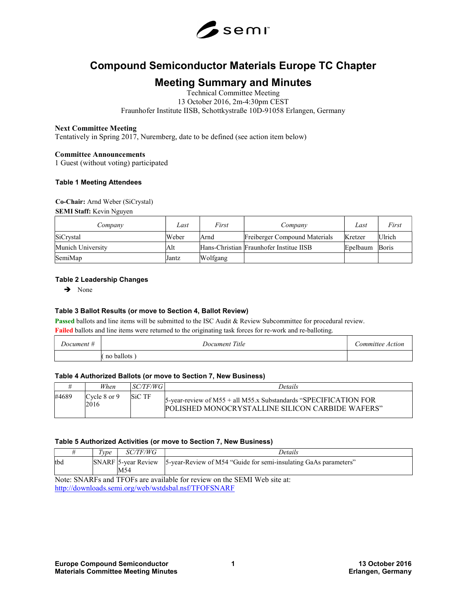

# Compound Semiconductor Materials Europe TC Chapter

## Meeting Summary and Minutes

Technical Committee Meeting 13 October 2016, 2m-4:30pm CEST Fraunhofer Institute IISB, Schottkystraße 10D-91058 Erlangen, Germany

## Next Committee Meeting

Tentatively in Spring 2017, Nuremberg, date to be defined (see action item below)

## Committee Announcements

1 Guest (without voting) participated

#### Table 1 Meeting Attendees

## Co-Chair: Arnd Weber (SiCrystal)

SEMI Staff: Kevin Nguyen

| Company           | Last  | First    | Company                                 | Last     | First  |
|-------------------|-------|----------|-----------------------------------------|----------|--------|
| SiCrystal         | Weber | Arnd     | Freiberger Compound Materials           | Kretzer  | Ulrich |
| Munich University | Alt   |          | Hans-Christian Fraunhofer Institue IISB | Epelbaum | Boris  |
| SemiMap           | Jantz | Wolfgang |                                         |          |        |

## Table 2 Leadership Changes

 $\rightarrow$  None

## Table 3 Ballot Results (or move to Section 4, Ballot Review)

Passed ballots and line items will be submitted to the ISC Audit & Review Subcommittee for procedural review.

Failed ballots and line items were returned to the originating task forces for re-work and re-balloting.

| Document # | Title<br><i>Document</i> | Action<br>ommittee |
|------------|--------------------------|--------------------|
|            | ballots<br>no            |                    |

## Table 4 Authorized Ballots (or move to Section 7, New Business)

|       | When                 | SC/TF/WG      | Details                                                                                                                     |
|-------|----------------------|---------------|-----------------------------------------------------------------------------------------------------------------------------|
| #4689 | Cycle 8 or 9<br>2016 | <b>SiC TF</b> | 5-year-review of M55 + all M55.x Substandards "SPECIFICATION FOR<br><b>POLISHED MONOCRYSTALLINE SILICON CARRIDE WAFERS"</b> |

## Table 5 Authorized Activities (or move to Section 7, New Business)

|     | Type | <i>SC/TF/WG</i> | Details                                                                              |
|-----|------|-----------------|--------------------------------------------------------------------------------------|
| tbd |      | M54             | SNARF 5-year Review 5-year-Review of M54 "Guide for semi-insulating GaAs parameters" |
|     |      |                 | Moto: CMADEs and TEOEs are available for review on the CEMI Web site of              |

Note: SNARFs and TFOFs are available for review on the SEMI Web site at: http://downloads.semi.org/web/wstdsbal.nsf/TFOFSNARF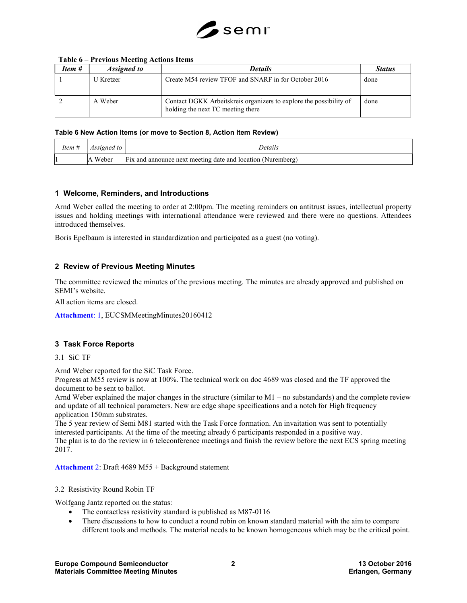

| Item # | <i>Assigned to</i> | <b>Details</b>                                                                                          | <b>Status</b> |
|--------|--------------------|---------------------------------------------------------------------------------------------------------|---------------|
|        | U Kretzer          | Create M54 review TFOF and SNARF in for October 2016                                                    | done          |
|        | A Weber            | Contact DGKK Arbeitskreis organizers to explore the possibility of<br>holding the next TC meeting there | done          |

## Table 6 – Previous Meeting Actions Items

#### Table 6 New Action Items (or move to Section 8, Action Item Review)

| Item # | Assigned to | Details                                                     |
|--------|-------------|-------------------------------------------------------------|
|        | A Weber     | Fix and announce next meeting date and location (Nuremberg) |

## 1 Welcome, Reminders, and Introductions

Arnd Weber called the meeting to order at 2:00pm. The meeting reminders on antitrust issues, intellectual property issues and holding meetings with international attendance were reviewed and there were no questions. Attendees introduced themselves.

Boris Epelbaum is interested in standardization and participated as a guest (no voting).

## 2 Review of Previous Meeting Minutes

The committee reviewed the minutes of the previous meeting. The minutes are already approved and published on SEMI's website.

All action items are closed.

Attachment: 1, EUCSMMeetingMinutes20160412

## 3 Task Force Reports

3.1 SiC TF

Arnd Weber reported for the SiC Task Force.

Progress at M55 review is now at 100%. The technical work on doc 4689 was closed and the TF approved the document to be sent to ballot.

Arnd Weber explained the major changes in the structure (similar to M1 – no substandards) and the complete review and update of all technical parameters. New are edge shape specifications and a notch for High frequency application 150mm substrates.

The 5 year review of Semi M81 started with the Task Force formation. An invaitation was sent to potentially interested participants. At the time of the meeting already 6 participants responded in a positive way. The plan is to do the review in 6 teleconference meetings and finish the review before the next ECS spring meeting 2017.

Attachment 2: Draft 4689 M55 + Background statement

3.2 Resistivity Round Robin TF

Wolfgang Jantz reported on the status:

- The contactless resistivity standard is published as M87-0116
- There discussions to how to conduct a round robin on known standard material with the aim to compare different tools and methods. The material needs to be known homogeneous which may be the critical point.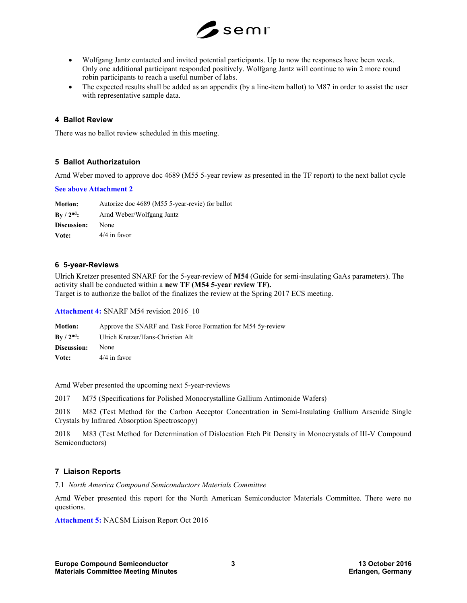

- Wolfgang Jantz contacted and invited potential participants. Up to now the responses have been weak. Only one additional participant responded positively. Wolfgang Jantz will continue to win 2 more round robin participants to reach a useful number of labs.
- The expected results shall be added as an appendix (by a line-item ballot) to M87 in order to assist the user with representative sample data.

## 4 Ballot Review

There was no ballot review scheduled in this meeting.

## 5 Ballot Authorizatuion

Arnd Weber moved to approve doc 4689 (M55 5-year review as presented in the TF report) to the next ballot cycle

#### See above Attachment 2

Motion: Autorize doc 4689 (M55 5-year-revie) for ballot By / 2<sup>nd</sup>: Arnd Weber/Wolfgang Jantz Discussion: None Vote: 4/4 in favor

## 6 5-year-Reviews

Ulrich Kretzer presented SNARF for the 5-year-review of M54 (Guide for semi-insulating GaAs parameters). The activity shall be conducted within a new TF (M54 5-year review TF). Target is to authorize the ballot of the finalizes the review at the Spring 2017 ECS meeting.

Attachment 4: SNARF M54 revision 2016 10

Motion: Approve the SNARF and Task Force Formation for M54 5y-review By / 2<sup>nd</sup>: Ulrich Kretzer/Hans-Christian Alt Discussion: None Vote: 4/4 in favor

Arnd Weber presented the upcoming next 5-year-reviews

2017 M75 (Specifications for Polished Monocrystalline Gallium Antimonide Wafers)

2018 M82 (Test Method for the Carbon Acceptor Concentration in Semi-Insulating Gallium Arsenide Single Crystals by Infrared Absorption Spectroscopy)

2018 M83 (Test Method for Determination of Dislocation Etch Pit Density in Monocrystals of III-V Compound Semiconductors)

## 7 Liaison Reports

7.1 North America Compound Semiconductors Materials Committee

Arnd Weber presented this report for the North American Semiconductor Materials Committee. There were no questions.

Attachment 5: NACSM Liaison Report Oct 2016